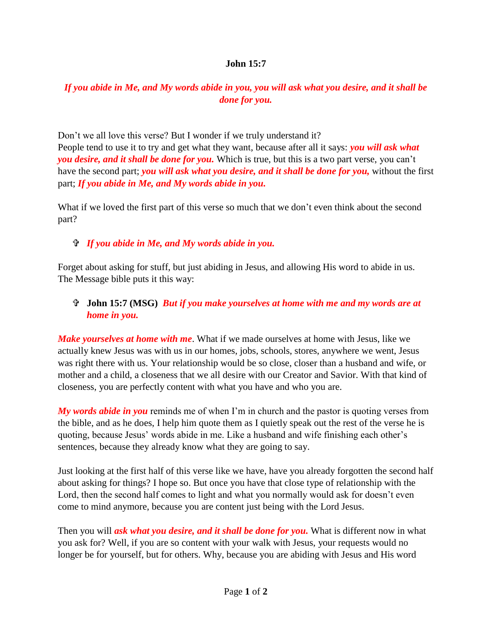## **John 15:7**

## *If you abide in Me, and My words abide in you, you will ask what you desire, and it shall be done for you.*

Don't we all love this verse? But I wonder if we truly understand it?

People tend to use it to try and get what they want, because after all it says: *you will ask what you desire, and it shall be done for you.* Which is true, but this is a two part verse, you can't have the second part; *you will ask what you desire, and it shall be done for you,* without the first part; *If you abide in Me, and My words abide in you.*

What if we loved the first part of this verse so much that we don't even think about the second part?

## *If you abide in Me, and My words abide in you.*

Forget about asking for stuff, but just abiding in Jesus, and allowing His word to abide in us. The Message bible puts it this way:

## **John 15:7 (MSG)** *But if you make yourselves at home with me and my words are at home in you.*

*Make yourselves at home with me*. What if we made ourselves at home with Jesus, like we actually knew Jesus was with us in our homes, jobs, schools, stores, anywhere we went, Jesus was right there with us. Your relationship would be so close, closer than a husband and wife, or mother and a child, a closeness that we all desire with our Creator and Savior. With that kind of closeness, you are perfectly content with what you have and who you are.

*My words abide in you* reminds me of when I'm in church and the pastor is quoting verses from the bible, and as he does, I help him quote them as I quietly speak out the rest of the verse he is quoting, because Jesus' words abide in me. Like a husband and wife finishing each other's sentences, because they already know what they are going to say.

Just looking at the first half of this verse like we have, have you already forgotten the second half about asking for things? I hope so. But once you have that close type of relationship with the Lord, then the second half comes to light and what you normally would ask for doesn't even come to mind anymore, because you are content just being with the Lord Jesus.

Then you will *ask what you desire, and it shall be done for you.* What is different now in what you ask for? Well, if you are so content with your walk with Jesus, your requests would no longer be for yourself, but for others. Why, because you are abiding with Jesus and His word